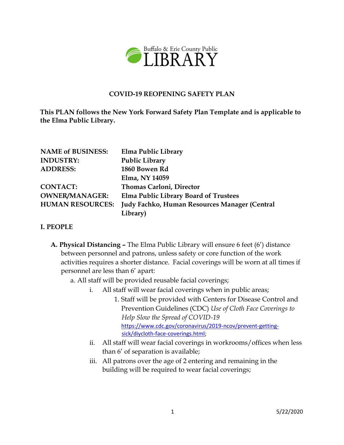

### **COVID-19 REOPENING SAFETY PLAN**

**This PLAN follows the New York Forward Safety Plan Template and is applicable to the Elma Public Library.**

| <b>NAME of BUSINESS:</b> | Elma Public Library                           |
|--------------------------|-----------------------------------------------|
| <b>INDUSTRY:</b>         | <b>Public Library</b>                         |
| <b>ADDRESS:</b>          | 1860 Bowen Rd                                 |
|                          | Elma, NY 14059                                |
| <b>CONTACT:</b>          | <b>Thomas Carloni, Director</b>               |
| <b>OWNER/MANAGER:</b>    | <b>Elma Public Library Board of Trustees</b>  |
| <b>HUMAN RESOURCES:</b>  | Judy Fachko, Human Resources Manager (Central |
|                          | Library)                                      |

#### **I. PEOPLE**

- **A. Physical Distancing –** The Elma Public Library will ensure 6 feet (6') distance between personnel and patrons, unless safety or core function of the work activities requires a shorter distance. Facial coverings will be worn at all times if personnel are less than 6' apart:
	- a. All staff will be provided reusable facial coverings;
		- i. All staff will wear facial coverings when in public areas;
			- 1. Staff will be provided with Centers for Disease Control and Prevention Guidelines (CDC) *Use of Cloth Face Coverings to Help Slow the Spread of COVID-19*  [https://www.cdc.gov/coronavirus/2019-ncov/prevent-getting](https://www.cdc.gov/coronavirus/2019-ncov/prevent-getting-sick/diy-cloth-face-coverings.html)[sick/diycloth-face-coverings.html;](https://www.cdc.gov/coronavirus/2019-ncov/prevent-getting-sick/diy-cloth-face-coverings.html)
		- ii. All staff will wear facial coverings in workrooms/offices when less than 6' of separation is available;
		- iii. All patrons over the age of 2 entering and remaining in the building will be required to wear facial coverings;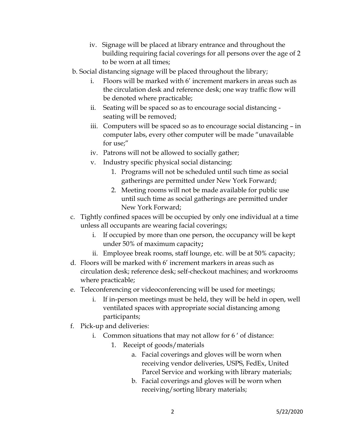- iv. Signage will be placed at library entrance and throughout the building requiring facial coverings for all persons over the age of 2 to be worn at all times;
- b. Social distancing signage will be placed throughout the library;
	- i. Floors will be marked with 6' increment markers in areas such as the circulation desk and reference desk; one way traffic flow will be denoted where practicable;
	- ii. Seating will be spaced so as to encourage social distancing seating will be removed;
	- iii. Computers will be spaced so as to encourage social distancing in computer labs, every other computer will be made "unavailable for use;"
	- iv. Patrons will not be allowed to socially gather;
	- v. Industry specific physical social distancing:
		- 1. Programs will not be scheduled until such time as social gatherings are permitted under New York Forward;
		- 2. Meeting rooms will not be made available for public use until such time as social gatherings are permitted under New York Forward;
- c. Tightly confined spaces will be occupied by only one individual at a time unless all occupants are wearing facial coverings;
	- i. If occupied by more than one person, the occupancy will be kept under 50% of maximum capacity**;**
	- ii. Employee break rooms, staff lounge, etc. will be at 50% capacity;
- d. Floors will be marked with 6' increment markers in areas such as circulation desk; reference desk; self-checkout machines; and workrooms where practicable;
- e. Teleconferencing or videoconferencing will be used for meetings;
	- i. If in-person meetings must be held, they will be held in open, well ventilated spaces with appropriate social distancing among participants;
- f. Pick-up and deliveries:
	- i. Common situations that may not allow for 6 ' of distance:
		- 1. Receipt of goods/materials
			- a. Facial coverings and gloves will be worn when receiving vendor deliveries, USPS, FedEx, United Parcel Service and working with library materials;
			- b. Facial coverings and gloves will be worn when receiving/sorting library materials;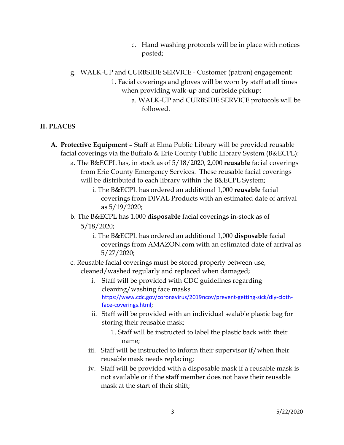- c. Hand washing protocols will be in place with notices posted;
- g. WALK-UP and CURBSIDE SERVICE Customer (patron) engagement:
	- 1. Facial coverings and gloves will be worn by staff at all times when providing walk-up and curbside pickup;
		- a. WALK-UP and CURBSIDE SERVICE protocols will be followed.

# **II. PLACES**

- **A. Protective Equipment –** Staff at Elma Public Library will be provided reusable facial coverings via the Buffalo & Erie County Public Library System (B&ECPL):
	- a. The B&ECPL has, in stock as of 5/18/2020, 2,000 **reusable** facial coverings from Erie County Emergency Services. These reusable facial coverings will be distributed to each library within the B&ECPL System;
		- i. The B&ECPL has ordered an additional 1,000 **reusable** facial coverings from DIVAL Products with an estimated date of arrival as 5/19/2020;
	- b. The B&ECPL has 1,000 **disposable** facial coverings in-stock as of 5/18/2020;
		- i. The B&ECPL has ordered an additional 1,000 **disposable** facial coverings from AMAZON.com with an estimated date of arrival as 5/27/2020;
	- c. Reusable facial coverings must be stored properly between use, cleaned/washed regularly and replaced when damaged;
		- i. Staff will be provided with CDC guidelines regarding cleaning/washing face masks [https://www.cdc.gov/coronavirus/2019ncov/prevent-getting-sick/diy-cloth](https://www.cdc.gov/coronavirus/2019-ncov/prevent-getting-sick/diy-cloth-face-coverings.html)[face-coverings.html;](https://www.cdc.gov/coronavirus/2019-ncov/prevent-getting-sick/diy-cloth-face-coverings.html)
		- ii. Staff will be provided with an individual sealable plastic bag for storing their reusable mask;
			- 1. Staff will be instructed to label the plastic back with their name;
		- iii. Staff will be instructed to inform their supervisor if/when their reusable mask needs replacing;
		- iv. Staff will be provided with a disposable mask if a reusable mask is not available or if the staff member does not have their reusable mask at the start of their shift;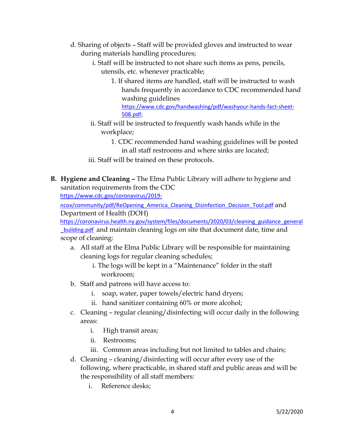- d. Sharing of objects Staff will be provided gloves and instructed to wear during materials handling procedures;
	- i. Staff will be instructed to not share such items as pens, pencils, utensils, etc. whenever practicable;
		- 1. If shared items are handled, staff will be instructed to wash hands frequently in accordance to CDC recommended hand washing guidelines [https://www.cdc.gov/handwashing/pdf/washyour-hands-fact-sheet-](https://www.cdc.gov/handwashing/pdf/wash-your-hands-fact-sheet-508.pdf)[508.pdf;](https://www.cdc.gov/handwashing/pdf/wash-your-hands-fact-sheet-508.pdf)
	- ii. Staff will be instructed to frequently wash hands while in the workplace;
		- 1. CDC recommended hand washing guidelines will be posted in all staff restrooms and where sinks are located;
	- iii. Staff will be trained on these protocols.
- **B. Hygiene and Cleaning –** The Elma Public Library will adhere to hygiene and sanitation requirements from the CDC

[https://www.cdc.gov/coronavirus/2019-](https://www.cdc.gov/coronavirus/2019-ncov/community/pdf/ReOpening_America_Cleaning_Disinfection_Decision_Tool.pdf)

[ncov/community/pdf/ReOpening\\_America\\_Cleaning\\_Disinfection\\_Decision\\_Tool.pdf](https://www.cdc.gov/coronavirus/2019-ncov/community/pdf/ReOpening_America_Cleaning_Disinfection_Decision_Tool.pdf) [a](https://www.cdc.gov/coronavirus/2019-ncov/community/pdf/ReOpening_America_Cleaning_Disinfection_Decision_Tool.pdf)nd Department of Health (DOH)

https://coronavirus.health.ny.gov/system/files/documents/2020/03/cleaning\_guidance\_general **building.pdf** and maintain cleaning logs on site that document date, time and scope of cleaning:

- a. All staff at the Elma Public Library will be responsible for maintaining cleaning logs for regular cleaning schedules;
	- i. The logs will be kept in a "Maintenance" folder in the staff workroom;
- b. Staff and patrons will have access to:
	- i. soap, water, paper towels/electric hand dryers;
	- ii. hand sanitizer containing 60% or more alcohol;
- c. Cleaning regular cleaning/disinfecting will occur daily in the following areas:
	- i. High transit areas;
	- ii. Restrooms;
	- iii. Common areas including but not limited to tables and chairs;
- d. Cleaning cleaning/disinfecting will occur after every use of the following, where practicable, in shared staff and public areas and will be the responsibility of all staff members:
	- i. Reference desks;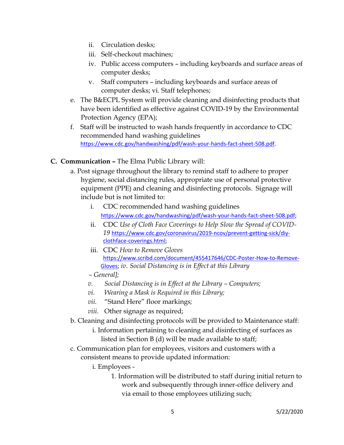- ii. Circulation desks;
- iii. Self-checkout machines;
- iv. Public access computers including keyboards and surface areas of computer desks;
- v. Staff computers including keyboards and surface areas of computer desks; vi. Staff telephones;
- e. The B&ECPL System will provide cleaning and disinfecting products that have been identified as effective against COVID-19 by the Environmental Protection Agency (EPA);
- f. Staff will be instructed to wash hands frequently in accordance to CDC recommended hand washing guidelines [https://www.cdc.gov/handwashing/pdf/wash-your-hands-fact-sheet-508.pdf.](https://www.cdc.gov/handwashing/pdf/wash-your-hands-fact-sheet-508.pdf)

## **C. Communication –** The Elma Public Library will:

- a. Post signage throughout the library to remind staff to adhere to proper hygiene, social distancing rules, appropriate use of personal protective equipment (PPE) and cleaning and disinfecting protocols. Signage will include but is not limited to:
	- i. CDC recommended hand washing guidelines [https://www.cdc.gov/handwashing/pdf/wash-your-hands-fact-sheet-508.pdf;](https://www.cdc.gov/handwashing/pdf/wash-your-hands-fact-sheet-508.pdf)
	- ii. CDC *Use of Cloth Face Coverings to Help Slow the Spread of COVID-19* [https://www.cdc.gov/coronavirus/2019-ncov/prevent-getting-sick/diy](https://www.cdc.gov/coronavirus/2019-ncov/prevent-getting-sick/diy-cloth-face-coverings.html)[clothface-coverings.html;](https://www.cdc.gov/coronavirus/2019-ncov/prevent-getting-sick/diy-cloth-face-coverings.html)
	- iii. CDC *How to Remove Gloves* [https://www.scribd.com/document/455417646/CDC-Poster-How-to-Remove-](https://www.scribd.com/document/455417646/CDC-Poster-How-to-Remove-Gloves)[Gloves;](https://www.scribd.com/document/455417646/CDC-Poster-How-to-Remove-Gloves) *iv. Social Distancing is in Effect at this Library*
	- *– General];*
	- *v. Social Distancing is in Effect at the Library – Computers;*
	- *vi. Wearing a Mask is Required in this Library;*
	- *vii.* "Stand Here" floor markings*;*
	- *viii.* Other signage as required;
- b. Cleaning and disinfecting protocols will be provided to Maintenance staff:
	- i. Information pertaining to cleaning and disinfecting of surfaces as listed in Section B (d) will be made available to staff;
- c. Communication plan for employees, visitors and customers with a consistent means to provide updated information:
	- i. Employees
		- 1. Information will be distributed to staff during initial return to work and subsequently through inner-office delivery and via email to those employees utilizing such;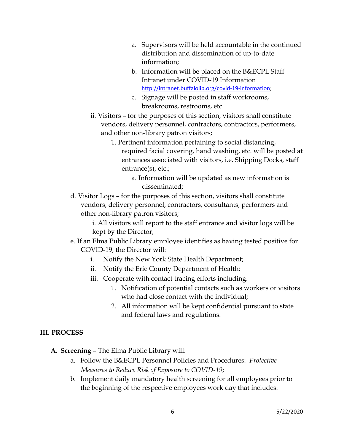- a. Supervisors will be held accountable in the continued distribution and dissemination of up-to-date information;
- b. Information will be placed on the B&ECPL Staff Intranet under COVID-19 Information [http://intranet.buffalolib.org/covid-19-information;](http://intranet.buffalolib.org/covid-19-information)
- c. Signage will be posted in staff workrooms, breakrooms, restrooms, etc.
- ii. Visitors for the purposes of this section, visitors shall constitute vendors, delivery personnel, contractors, contractors, performers, and other non-library patron visitors;
	- 1. Pertinent information pertaining to social distancing, required facial covering, hand washing, etc. will be posted at entrances associated with visitors, i.e. Shipping Docks, staff entrance(s), etc.;
		- a. Information will be updated as new information is disseminated;
- d. Visitor Logs for the purposes of this section, visitors shall constitute vendors, delivery personnel, contractors, consultants, performers and other non-library patron visitors;

i. All visitors will report to the staff entrance and visitor logs will be kept by the Director;

- e. If an Elma Public Library employee identifies as having tested positive for COVID-19, the Director will:
	- i. Notify the New York State Health Department;
	- ii. Notify the Erie County Department of Health;
	- iii. Cooperate with contact tracing efforts including:
		- 1. Notification of potential contacts such as workers or visitors who had close contact with the individual;
		- 2. All information will be kept confidential pursuant to state and federal laws and regulations.

## **III. PROCESS**

- **A. Screening** The Elma Public Library will:
	- a. Follow the B&ECPL Personnel Policies and Procedures: *Protective Measures to Reduce Risk of Exposure to COVID-19*;
	- b. Implement daily mandatory health screening for all employees prior to the beginning of the respective employees work day that includes: